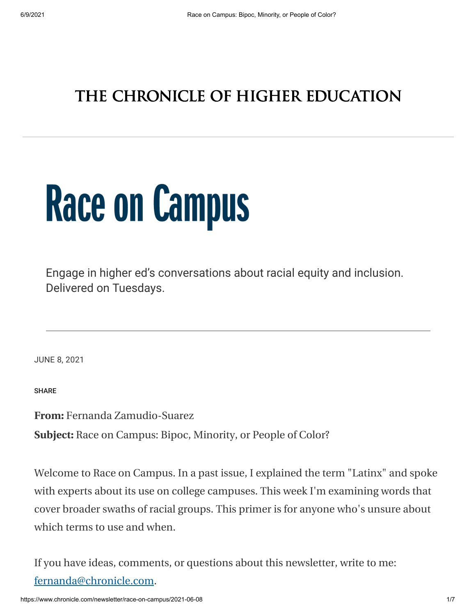## THE CHRONICLE OF HIGHER EDUCATION

# **Race on Campus**

Engage in higher ed's conversations about racial equity and inclusion. Delivered on Tuesdays.

JUNE 8, 2021

SHARE

**From:** Fernanda Zamudio-Suarez

**Subject:** Race on Campus: Bipoc, Minority, or People of Color?

Welcome to Race on Campus. In a past issue, I explained the term "Latinx" and spoke with experts about its use on college campuses. This week I'm examining words that cover broader swaths of racial groups. This primer is for anyone who's unsure about which terms to use and when.

If you have ideas, comments, or questions about this newsletter, write to me: [fernanda@chronicle.com](mailto:fernanda@chronicle.com).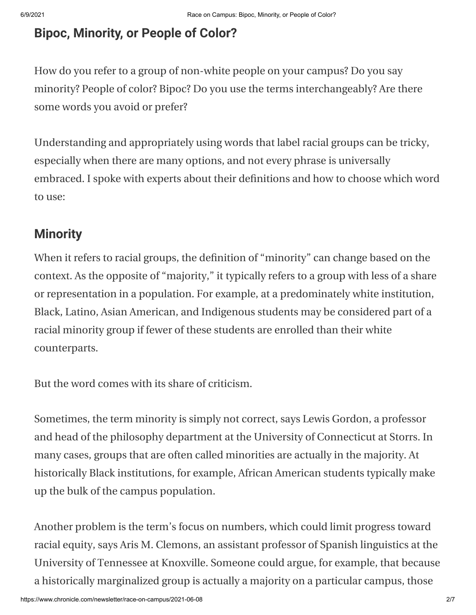#### **Bipoc, Minority, or People of Color?**

How do you refer to a group of non-white people on your campus? Do you say minority? People of color? Bipoc? Do you use the terms interchangeably? Are there some words you avoid or prefer?

Understanding and appropriately using words that label racial groups can be tricky, especially when there are many options, and not every phrase is universally embraced. I spoke with experts about their definitions and how to choose which word to use:

#### **Minority**

When it refers to racial groups, the definition of "minority" can change based on the context. As the opposite of "majority," it typically refers to a group with less of a share or representation in a population. For example, at a predominately white institution, Black, Latino, Asian American, and Indigenous students may be considered part of a racial minority group if fewer of these students are enrolled than their white counterparts.

But the word comes with its share of criticism.

Sometimes, the term minority is simply not correct, says Lewis Gordon, a professor and head of the philosophy department at the University of Connecticut at Storrs. In many cases, groups that are often called minorities are actually in the majority. At historically Black institutions, for example, African American students typically make up the bulk of the campus population.

Another problem is the term's focus on numbers, which could limit progress toward racial equity, says Aris M. Clemons, an assistant professor of Spanish linguistics at the University of Tennessee at Knoxville. Someone could argue, for example, that because a historically marginalized group is actually a majority on a particular campus, those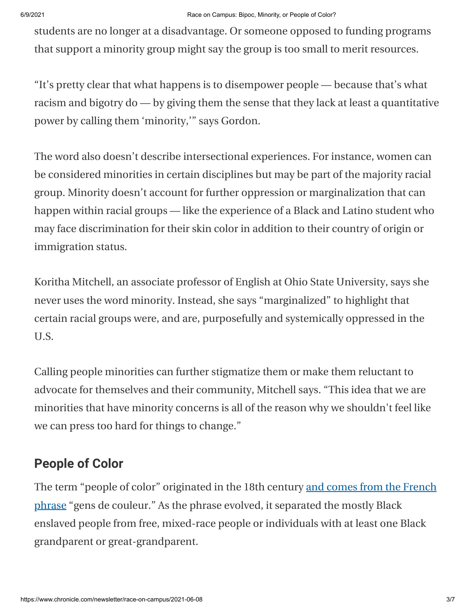students are no longer at a disadvantage. Or someone opposed to funding programs that support a minority group might say the group is too small to merit resources.

"It's pretty clear that what happens is to disempower people — because that's what racism and bigotry do — by giving them the sense that they lack at least a quantitative power by calling them 'minority,'" says Gordon.

The word also doesn't describe intersectional experiences. For instance, women can be considered minorities in certain disciplines but may be part of the majority racial group. Minority doesn't account for further oppression or marginalization that can happen within racial groups — like the experience of a Black and Latino student who may face discrimination for their skin color in addition to their country of origin or immigration status.

Koritha Mitchell, an associate professor of English at Ohio State University, says she never uses the word minority. Instead, she says "marginalized" to highlight that certain racial groups were, and are, purposefully and systemically oppressed in the U.S.

Calling people minorities can further stigmatize them or make them reluctant to advocate for themselves and their community, Mitchell says. "This idea that we are minorities that have minority concerns is all of the reason why we shouldn't feel like we can press too hard for things to change."

## **People of Color**

[The term "people of color" originated in the 18th century and comes from the French](https://www.npr.org/sections/codeswitch/2014/03/30/295931070/the-journey-from-colored-to-minorities-to-people-of-color) phrase "gens de couleur." As the phrase evolved, it separated the mostly Black enslaved people from free, mixed-race people or individuals with at least one Black grandparent or great-grandparent.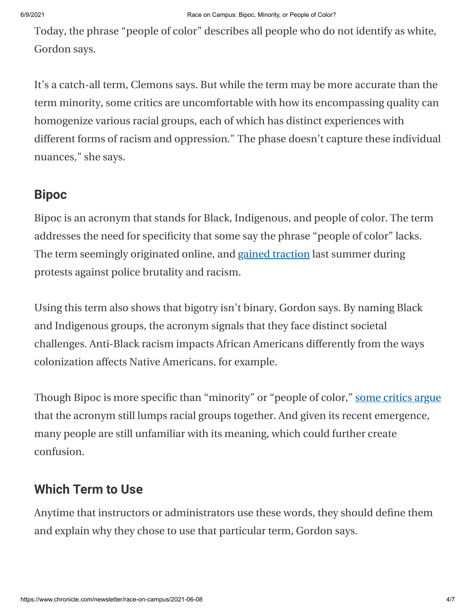Today, the phrase "people of color" describes all people who do not identify as white, Gordon says.

It's a catch-all term, Clemons says. But while the term may be more accurate than the term minority, some critics are uncomfortable with how its encompassing quality can homogenize various racial groups, each of which has distinct experiences with different forms of racism and oppression." The phase doesn't capture these individual nuances," she says.

## **Bipoc**

Bipoc is an acronym that stands for Black, Indigenous, and people of color. The term addresses the need for specificity that some say the phrase "people of color" lacks. The term seemingly originated online, and [gained traction](https://www.nytimes.com/article/what-is-bipoc.html) last summer during protests against police brutality and racism.

Using this term also shows that bigotry isn't binary, Gordon says. By naming Black and Indigenous groups, the acronym signals that they face distinct societal challenges. Anti-Black racism impacts African Americans differently from the ways colonization affects Native Americans, for example.

Though Bipoc is more specific than "minority" or "people of color," [some critics argue](https://www.nytimes.com/article/what-is-bipoc.html) that the acronym still lumps racial groups together. And given its recent emergence, many people are still unfamiliar with its meaning, which could further create confusion.

#### **Which Term to Use**

Anytime that instructors or administrators use these words, they should define them and explain why they chose to use that particular term, Gordon says.